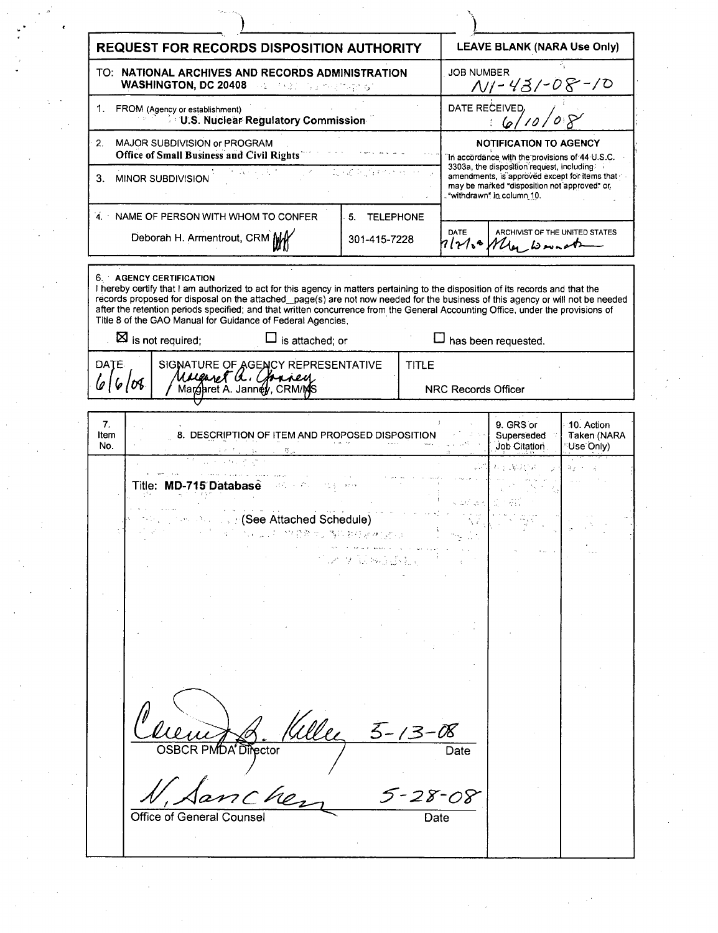| <b>REQUEST FOR RECORDS DISPOSITION AUTHORITY</b>                                                                                                                                                                                                                                                                                                                                                                                                                                                 | <b>LEAVE BLANK (NARA Use Only)</b>                                                                                           |  |
|--------------------------------------------------------------------------------------------------------------------------------------------------------------------------------------------------------------------------------------------------------------------------------------------------------------------------------------------------------------------------------------------------------------------------------------------------------------------------------------------------|------------------------------------------------------------------------------------------------------------------------------|--|
| TO: NATIONAL ARCHIVES AND RECORDS ADMINISTRATION<br><b>WASHINGTON, DC 20408 And Medicine Services</b> of                                                                                                                                                                                                                                                                                                                                                                                         | <b>JOB NUMBER</b><br><u>NI-431-08-10</u>                                                                                     |  |
| FROM (Agency or establishment)<br>1.<br>U.S. Nuclear Regulatory Commission                                                                                                                                                                                                                                                                                                                                                                                                                       | DATE RECEIVED,<br>6,                                                                                                         |  |
| MAJOR SUBDIVISION or PROGRAM<br>2.<br><b>Office of Small Business and Civil Rights</b>                                                                                                                                                                                                                                                                                                                                                                                                           | <b>NOTIFICATION TO AGENCY</b><br>In accordance with the provisions of 44 U.S.C.<br>3303a, the disposition request, including |  |
| エース キーショナイン・オー<br>3.<br>MINOR SUBDIVISION                                                                                                                                                                                                                                                                                                                                                                                                                                                        | amendments, is approved except for items that<br>may be marked "disposition not approved" or<br>"withdrawn" in column 10.    |  |
| 4. NAME OF PERSON WITH WHOM TO CONFER<br>5. TELEPHONE                                                                                                                                                                                                                                                                                                                                                                                                                                            |                                                                                                                              |  |
| Deborah H. Armentrout, CRM MY<br>301-415-7228                                                                                                                                                                                                                                                                                                                                                                                                                                                    | DATE<br>ARCHIVIST OF THE UNITED STATES<br>Plate May wonet                                                                    |  |
| 6. AGENCY CERTIFICATION<br>I hereby certify that I am authorized to act for this agency in matters pertaining to the disposition of its records and that the<br>records proposed for disposal on the attached_page(s) are not now needed for the business of this agency or will not be needed<br>after the retention periods specified; and that written concurrence from the General Accounting Office, under the provisions of<br>Title 8 of the GAO Manual for Guidance of Federal Agencies, |                                                                                                                              |  |
| $\boxtimes$ is not required;<br>is attached; or                                                                                                                                                                                                                                                                                                                                                                                                                                                  | has been requested.                                                                                                          |  |
| DATE.<br>SIGNATURE OF AGENCY REPRESENTATIVE<br><b>TITLE</b><br>Marganet Q. Chancey<br>616108                                                                                                                                                                                                                                                                                                                                                                                                     | NRC Records Officer                                                                                                          |  |
|                                                                                                                                                                                                                                                                                                                                                                                                                                                                                                  |                                                                                                                              |  |
| 7.<br>8. DESCRIPTION OF ITEM AND PROPOSED DISPOSITION<br>Item<br>No.                                                                                                                                                                                                                                                                                                                                                                                                                             | 9. GRS or<br>10. Action<br>Superseded<br>Taken (NARA<br>Job Citation<br>Use Only)                                            |  |
| Title: MD-715 Database                                                                                                                                                                                                                                                                                                                                                                                                                                                                           | नि प                                                                                                                         |  |
| <b>Second Line (See Attached Schedule)</b>                                                                                                                                                                                                                                                                                                                                                                                                                                                       |                                                                                                                              |  |
| ウィット ねんしじょう                                                                                                                                                                                                                                                                                                                                                                                                                                                                                      |                                                                                                                              |  |
|                                                                                                                                                                                                                                                                                                                                                                                                                                                                                                  |                                                                                                                              |  |
|                                                                                                                                                                                                                                                                                                                                                                                                                                                                                                  |                                                                                                                              |  |
|                                                                                                                                                                                                                                                                                                                                                                                                                                                                                                  |                                                                                                                              |  |
| $5 - 13 - 08$<br>CR PMDA Director                                                                                                                                                                                                                                                                                                                                                                                                                                                                | Date                                                                                                                         |  |
| 5-28-08<br>Office of General Counse                                                                                                                                                                                                                                                                                                                                                                                                                                                              | Date                                                                                                                         |  |
|                                                                                                                                                                                                                                                                                                                                                                                                                                                                                                  |                                                                                                                              |  |

 $\label{eq:2} \begin{split} \mathcal{L}_{\text{max}}(\mathcal{L}_{\text{max}}) = \mathcal{L}_{\text{max}}(\mathcal{L}_{\text{max}}) \end{split}$ 

 $\label{eq:2} \frac{1}{\sqrt{2}}\int_{0}^{\infty}\frac{1}{\sqrt{2\pi}}\left(\frac{1}{\sqrt{2\pi}}\right)^{2}d\mu$ 

 $\label{eq:2.1} \frac{1}{2} \sum_{i=1}^n \frac{1}{2} \sum_{j=1}^n \frac{1}{2} \sum_{j=1}^n \frac{1}{2} \sum_{j=1}^n \frac{1}{2} \sum_{j=1}^n \frac{1}{2} \sum_{j=1}^n \frac{1}{2} \sum_{j=1}^n \frac{1}{2} \sum_{j=1}^n \frac{1}{2} \sum_{j=1}^n \frac{1}{2} \sum_{j=1}^n \frac{1}{2} \sum_{j=1}^n \frac{1}{2} \sum_{j=1}^n \frac{1}{2} \sum_{j=1}^n \frac{$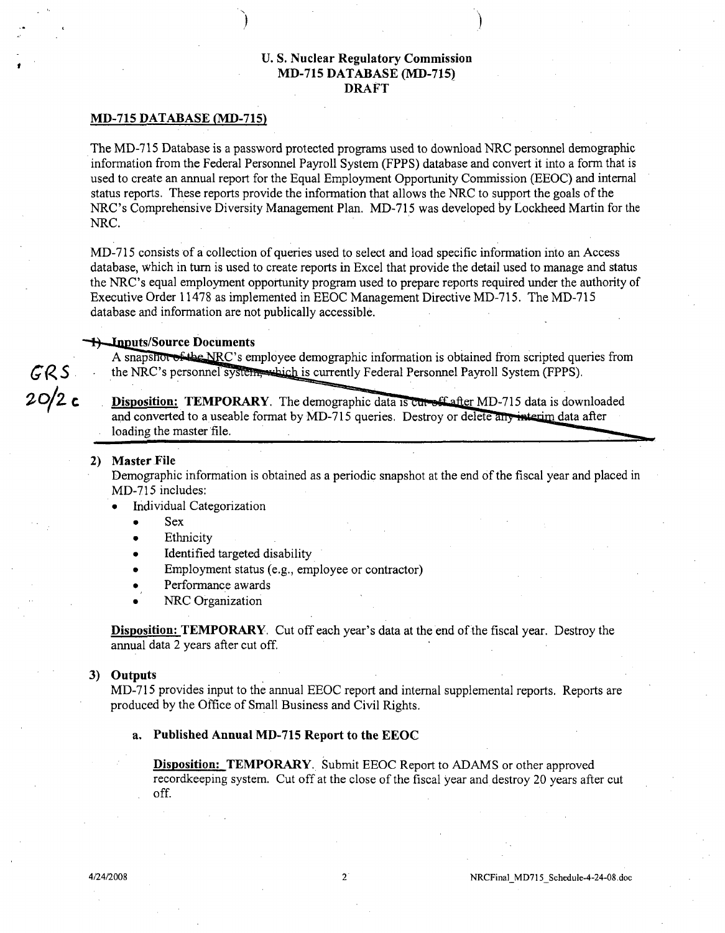# **U. S.** Nuclear Regulatory Commission **MD-715 DATABASE (MD-715)** DRAFT

) and the contract of  $\mathcal{L}$  (i.e.,  $\mathcal{L}$  ) and  $\mathcal{L}$ 

### **MD-715 DATABASE (MD-715)**

The MD-715 Database is a password protected programs used to download NRC personnel demographic information from the Federal Personnel Payroll System (FPPS) database and convert it into a form that is used to create an annual report for the Equal Employment Opportunity Commission (EEOC) and internal status reports. These reports provide the information that allows the NRC to support the goals of the NRC's Comprehensive Diversity Management Plan. MD-715 was developed by Lockheed Martin for the NRC.

MD-715 consists of a collection of queries used to select and load specific information into an Access database, which in turn is used to create reports in Excel that provide the detail used to manage and status the NRC's equal employment opportunity program used to prepare reports required under the authority of Executive Order 11478 as implemented in EEOC Management Directive MD-715. The MD-715 database and information are not publically accessible.

### **++ Inputs/Source Documents**

A snapshot of the NRC's employee demographic information is obtained from scripted queries from *67(R S* the NRC's personnel sy is currently Federal Personnel Payroll System (FPPS).

20/2 **c Disposition: TEMPORARY**. The demographic data is curreff after MD-715 data is downloaded and converted to a useable format by MD-715 queries. Destroy or delete any interim data after loading the master file.

## 2) Master File

Demographic information is obtained as a periodic snapshot at the end of the fiscal year and placed in MD-715 includes:

- **0** Individual Categorization
	- **0** Sex
	- **Ethnicity**
	- Identified targeted disability
	- Employment status (e.g., employee or contractor)
	- Performance awards
	- NRC Organization

Disposition: TEMPORARY. Cut off each year's data at the end of the fiscal year. Destroy the annual data 2 years after cut off.

#### **3)** Outputs

MD-715 provides input to the annual EEOC report and internal supplemental reports. Reports are produced by the Office of Small Business and Civil Rights.

### a. Published Annual **MD-715** Report to the **EEOC**

Disposition: TEMPORARY. Submit EEOC Report to ADAMS or other approved recordkeeping system. Cut off at the close of the fiscal year and destroy 20 years after cut off.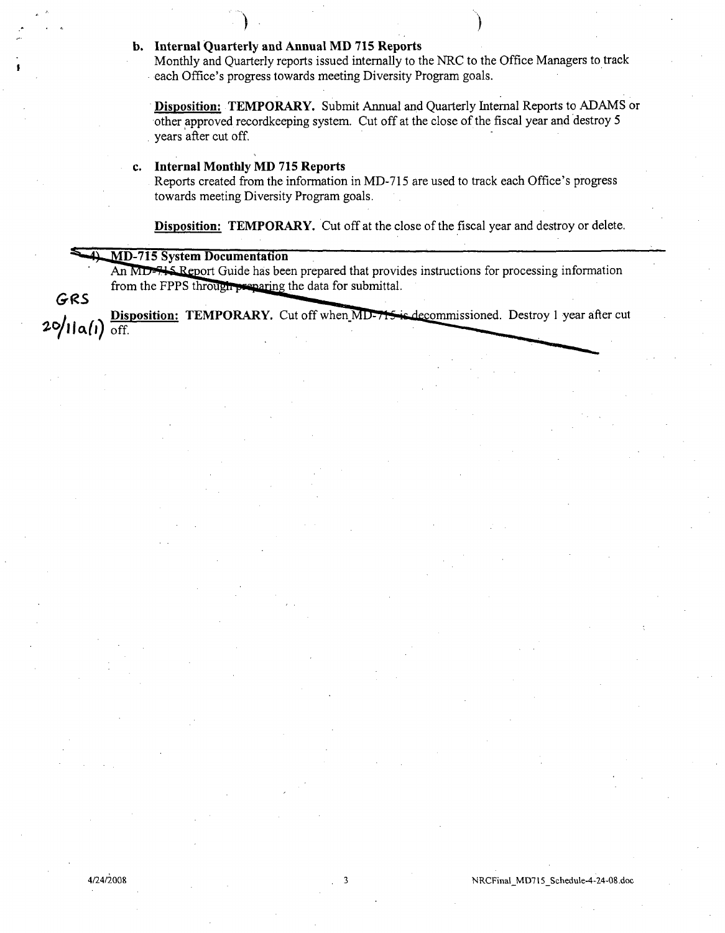# **b.** Internal Quarterly and Annual MD **715** Reports

Monthly and Quarterly reports issued internally to the NRC to the Office Managers to track each Office's progress towards meeting Diversity Program goals.

Disposition: TEMPORARY. Submit Annual and Quarterly Internal Reports to ADAMS or other approved recordkeeping system. Cut off at the close of the fiscal year and destroy 5 years after cut off.

## c. Internal Monthly MD 715 Reports

Reports created from the information in MD-715 are used to track each Office's progress towards meeting Diversity Program goals.

Disposition: TEMPORARY. Cut off at the close of the fiscal year and destroy or delete.

## **MD-715 System Documentation**

GRS

An MD-715 Report Guide has been prepared that provides instructions for processing information from the FPPS through preparing the data for submittal.

**Disposition: TEMPORARY.** Cut off when MD-715 is decommissioned. Destroy 1 year after cut  $20/11a(l)$  off.